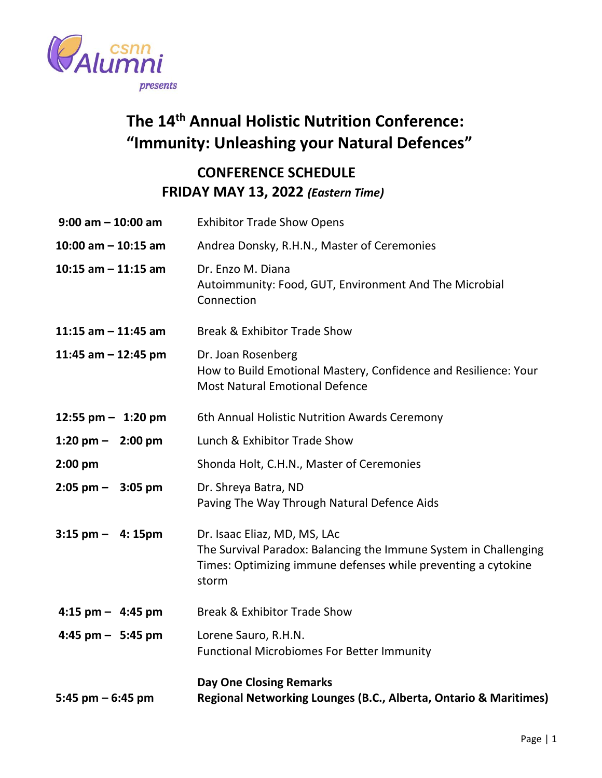

## **The 14 th Annual Holistic Nutrition Conference: "Immunity: Unleashing your Natural Defences"**

## **CONFERENCE SCHEDULE FRIDAY MAY 13, 2022** *(Eastern Time)*

| $9:00$ am $-10:00$ am               | <b>Exhibitor Trade Show Opens</b>                                                                                                                                          |
|-------------------------------------|----------------------------------------------------------------------------------------------------------------------------------------------------------------------------|
| $10:00$ am $- 10:15$ am             | Andrea Donsky, R.H.N., Master of Ceremonies                                                                                                                                |
| 10:15 am $-$ 11:15 am               | Dr. Enzo M. Diana<br>Autoimmunity: Food, GUT, Environment And The Microbial<br>Connection                                                                                  |
| 11:15 am $-$ 11:45 am               | <b>Break &amp; Exhibitor Trade Show</b>                                                                                                                                    |
| 11:45 am $-$ 12:45 pm               | Dr. Joan Rosenberg<br>How to Build Emotional Mastery, Confidence and Resilience: Your<br><b>Most Natural Emotional Defence</b>                                             |
| 12:55 pm $-$ 1:20 pm                | 6th Annual Holistic Nutrition Awards Ceremony                                                                                                                              |
| 1:20 pm $-$ 2:00 pm                 | Lunch & Exhibitor Trade Show                                                                                                                                               |
| $2:00$ pm                           | Shonda Holt, C.H.N., Master of Ceremonies                                                                                                                                  |
| $2:05$ pm $-$ 3:05 pm               | Dr. Shreya Batra, ND<br>Paving The Way Through Natural Defence Aids                                                                                                        |
| $3:15$ pm $-$ 4: 15pm               | Dr. Isaac Eliaz, MD, MS, LAc<br>The Survival Paradox: Balancing the Immune System in Challenging<br>Times: Optimizing immune defenses while preventing a cytokine<br>storm |
| $4:15 \text{ pm} - 4:45 \text{ pm}$ | <b>Break &amp; Exhibitor Trade Show</b>                                                                                                                                    |
| $4:45$ pm $-$ 5:45 pm               | Lorene Sauro, R.H.N.<br><b>Functional Microbiomes For Better Immunity</b>                                                                                                  |
| 5:45 pm $-$ 6:45 pm                 | <b>Day One Closing Remarks</b><br>Regional Networking Lounges (B.C., Alberta, Ontario & Maritimes)                                                                         |